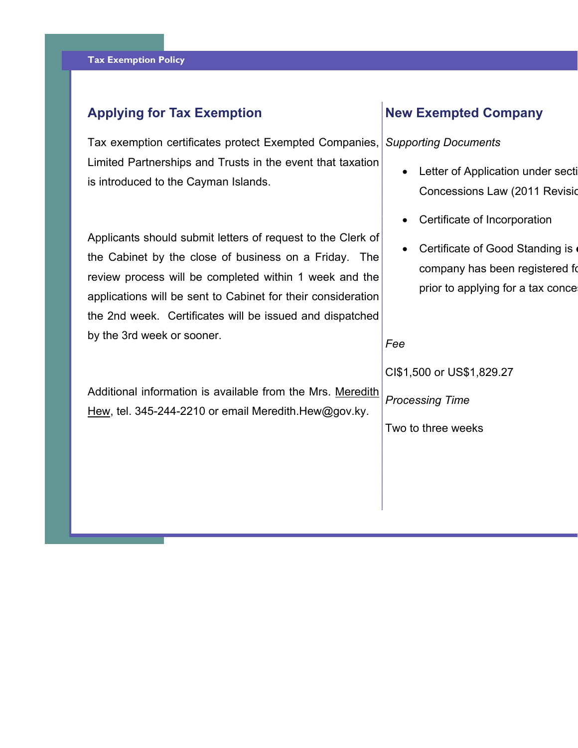# **Applying for Tax Exemption**

Tax exemption certificates protect Exempted Companies, Limited Partnerships and Trusts in the event that taxation is introduced to the Cayman Islands.

Applicants should submit letters of request to the Clerk of the Cabinet by the close of business on a Friday. The review process will be completed within 1 week and the applications will be sent to Cabinet for their consideration the 2nd week. Certificates will be issued and dispatched by the 3rd week or sooner.

Additional information is available from the Mrs. Meredith Hew, tel. 345-244-2210 or email Meredith.Hew@gov.ky.

# **New Exempted Company**

#### *Supporting Documents*

- Letter of Application under secti Concessions Law (2011 Revisio
- $\bullet$ Certificate of Incorporation
- Certificate of Good Standing is **<sup>o</sup>** company has been registered fo prior to applying for a tax conce

#### *Fee*

CI\$1,500 or US\$1,829.27

*Processing Time*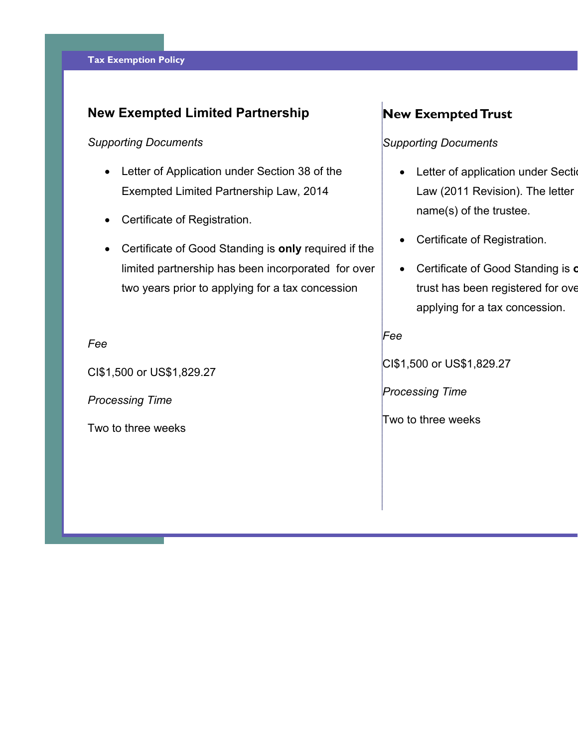# **New Exempted Limited Partnership**

### *Supporting Documents*

- Letter of Application under Section 38 of the Exempted Limited Partnership Law, 2014
- Certificate of Registration.
- Certificate of Good Standing is **only** required if the limited partnership has been incorporated for over two years prior to applying for a tax concession

#### *Fee*

CI\$1,500 or US\$1,829.27

*Processing Time* 

Two to three weeks

# **New Exempted Trust**

## *Supporting Documents*

- Letter of application under Section Law (2011 Revision). The letter name(s) of the trustee.
- $\bullet$ Certificate of Registration.
- Certificate of Good Standing is **<sup>o</sup>** trust has been registered for ove applying for a tax concession.

*Fee* 

CI\$1,500 or US\$1,829.27

*Processing Time*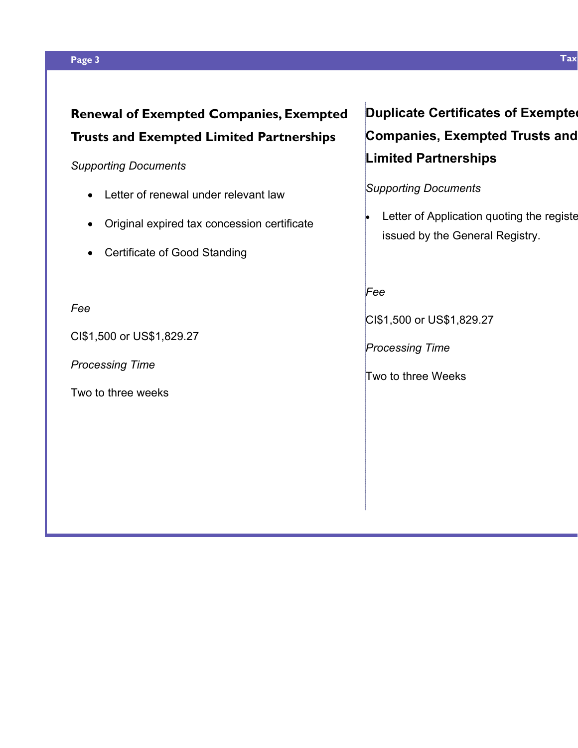#### **Page 3 Tax**

## *Supporting Documents*

- Letter of renewal under relevant law
- Original expired tax concession certificate
- Certificate of Good Standing

### *Fee*

CI\$1,500 or US\$1,829.27

*Processing Time* 

Two to three weeks

# **Duplicate Certificates of Exempted Companies, Exempted Trusts and Limited Partnerships**

## *Supporting Documents*

 $\bullet$  Letter of Application quoting the registe issued by the General Registry.

## *Fee*

CI\$1,500 or US\$1,829.27

*Processing Time*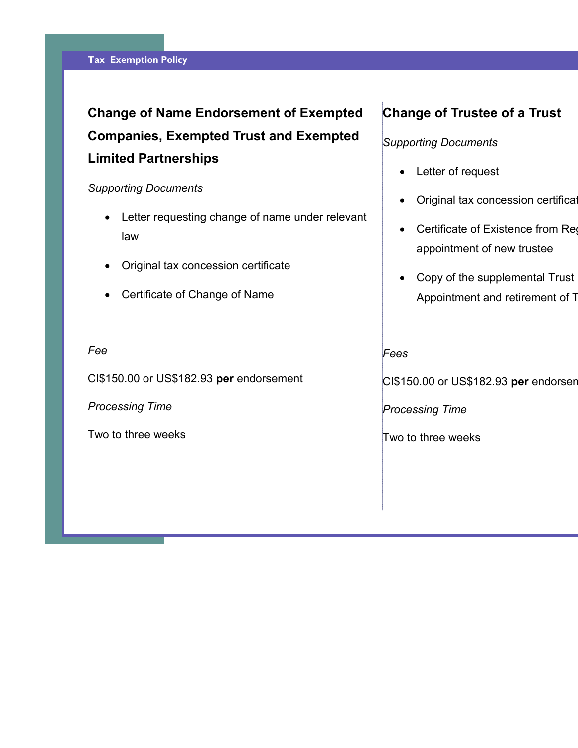# **Change of Name Endorsement of Exempted Companies, Exempted Trust and Exempted Limited Partnerships**

#### *Supporting Documents*

- Letter requesting change of name under relevant law
- $\bullet$ Original tax concession certificate
- Certificate of Change of Name

#### *Fee*

CI\$150.00 or US\$182.93 **per** endorsement

*Processing Time* 

Two to three weeks

# **Change of Trustee of a Trust**

## *Supporting Documents*

- Letter of request
- $\bullet$ Original tax concession certificat
- Certificate of Existence from Reg appointment of new trustee
- Copy of the supplemental Trust Appointment and retirement of T

#### *Fees*

CI\$150.00 or US\$182.93 **per** endorsem

*Processing Time*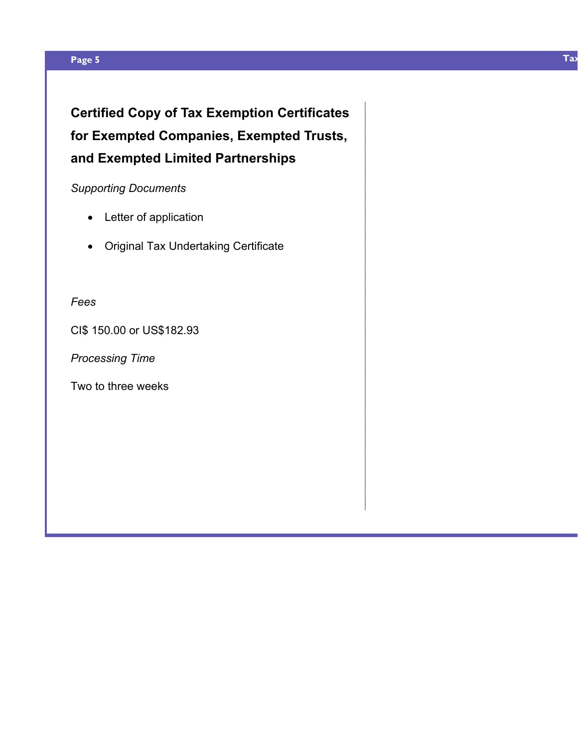#### **Page 5 Tax**

**Certified Copy of Tax Exemption Certificates for Exempted Companies, Exempted Trusts, and Exempted Limited Partnerships** 

## *Supporting Documents*

- Letter of application
- Original Tax Undertaking Certificate

## *Fees*

CI\$ 150.00 or US\$182.93

*Processing Time*